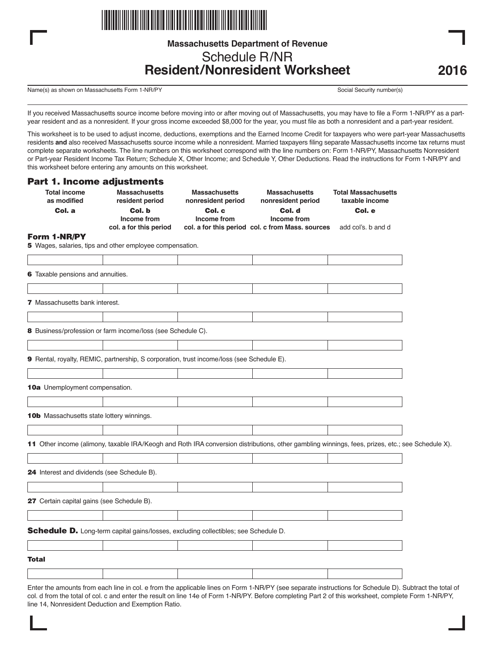

# **Massachusetts Department of Revenue** Schedule R/NR **Resident/Nonresident Worksheet**

Name(s) as shown on Massachusetts Form 1-NR/PY Social Security number(s) Social Security number(s)

If you received Massachusetts source income before moving into or after moving out of Massachusetts, you may have to file a Form 1-NR/PY as a partyear resident and as a nonresident. If your gross income exceeded \$8,000 for the year, you must file as both a nonresident and a part-year resident.

This worksheet is to be used to adjust income, deductions, exemptions and the Earned Income Credit for taxpayers who were part-year Massachusetts residents **and** also received Massachusetts source income while a nonresident. Married taxpayers filing separate Massachusetts income tax returns must complete separate worksheets. The line numbers on this worksheet correspond with the line numbers on: Form 1-NR/PY, Massachusetts Nonresident or Part-year Resident Income Tax Return; Schedule X, Other Income; and Schedule Y, Other Deductions. Read the instructions for Form 1-NR/PY and this worksheet before entering any amounts on this worksheet.

## **Part 1. Income adjustments**

| <b>Total income</b><br>as modified          | <b>Massachusetts</b><br>resident period                                                   | <b>Massachusetts</b><br>nonresident period | <b>Massachusetts</b><br>nonresident period                                                                                                       | <b>Total Massachusetts</b><br>taxable income |  |
|---------------------------------------------|-------------------------------------------------------------------------------------------|--------------------------------------------|--------------------------------------------------------------------------------------------------------------------------------------------------|----------------------------------------------|--|
| Col. a                                      | Col. b                                                                                    | Col. c                                     | Col. d                                                                                                                                           | Col. e                                       |  |
|                                             | Income from<br>col. a for this period                                                     | Income from                                | Income from<br>col. a for this period col. c from Mass. sources                                                                                  | add col's. b and d                           |  |
| Form 1-NR/PY                                |                                                                                           |                                            |                                                                                                                                                  |                                              |  |
|                                             | 5 Wages, salaries, tips and other employee compensation.                                  |                                            |                                                                                                                                                  |                                              |  |
|                                             |                                                                                           |                                            |                                                                                                                                                  |                                              |  |
| 6 Taxable pensions and annuities.           |                                                                                           |                                            |                                                                                                                                                  |                                              |  |
|                                             |                                                                                           |                                            |                                                                                                                                                  |                                              |  |
| 7 Massachusetts bank interest.              |                                                                                           |                                            |                                                                                                                                                  |                                              |  |
|                                             |                                                                                           |                                            |                                                                                                                                                  |                                              |  |
|                                             | 8 Business/profession or farm income/loss (see Schedule C).                               |                                            |                                                                                                                                                  |                                              |  |
|                                             |                                                                                           |                                            |                                                                                                                                                  |                                              |  |
|                                             | 9 Rental, royalty, REMIC, partnership, S corporation, trust income/loss (see Schedule E). |                                            |                                                                                                                                                  |                                              |  |
|                                             |                                                                                           |                                            |                                                                                                                                                  |                                              |  |
| 10a Unemployment compensation.              |                                                                                           |                                            |                                                                                                                                                  |                                              |  |
|                                             |                                                                                           |                                            |                                                                                                                                                  |                                              |  |
| 10b Massachusetts state lottery winnings.   |                                                                                           |                                            |                                                                                                                                                  |                                              |  |
|                                             |                                                                                           |                                            |                                                                                                                                                  |                                              |  |
|                                             |                                                                                           |                                            | 11 Other income (alimony, taxable IRA/Keogh and Roth IRA conversion distributions, other gambling winnings, fees, prizes, etc.; see Schedule X). |                                              |  |
|                                             |                                                                                           |                                            |                                                                                                                                                  |                                              |  |
| 24 Interest and dividends (see Schedule B). |                                                                                           |                                            |                                                                                                                                                  |                                              |  |
|                                             |                                                                                           |                                            |                                                                                                                                                  |                                              |  |
| 27 Certain capital gains (see Schedule B).  |                                                                                           |                                            |                                                                                                                                                  |                                              |  |
|                                             |                                                                                           |                                            |                                                                                                                                                  |                                              |  |
|                                             | Schedule D. Long-term capital gains/losses, excluding collectibles; see Schedule D.       |                                            |                                                                                                                                                  |                                              |  |
|                                             |                                                                                           |                                            |                                                                                                                                                  |                                              |  |
| Total                                       |                                                                                           |                                            |                                                                                                                                                  |                                              |  |
|                                             |                                                                                           |                                            |                                                                                                                                                  |                                              |  |

Enter the amounts from each line in col. e from the applicable lines on Form 1-NR/PY (see separate instructions for Schedule D). Subtract the total of col. d from the total of col. c and enter the result on line 14e of Form 1-NR/PY. Before completing Part 2 of this worksheet, complete Form 1-NR/PY, line 14, Nonresident Deduction and Exemption Ratio.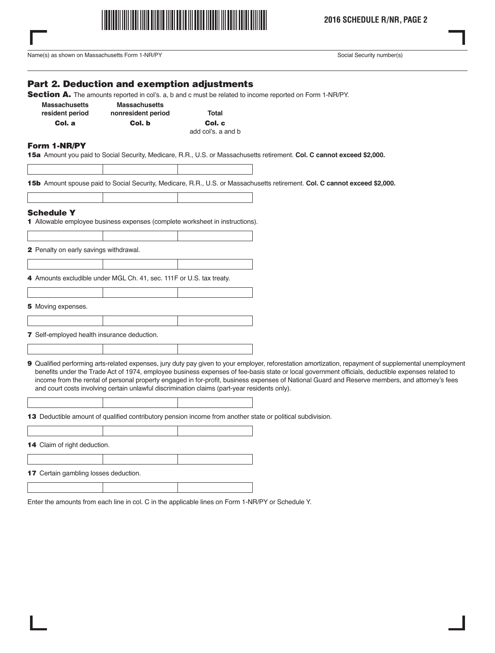

Name(s) as shown on Massachusetts Form 1-NR/PY Social Security number(s)

# **Part 2. Deduction and exemption adjustments**

Section A. The amounts reported in col's. a, b and c must be related to income reported on Form 1-NR/PY.

| <b>Massachusetts</b> | <b>Massachusetts</b> |        |  |
|----------------------|----------------------|--------|--|
| resident period      | nonresident period   | Total  |  |
| Col. a               | Col. b               | Col. c |  |
|                      |                      |        |  |

add col's. a and b

## **Form 1-NR/PY**

**15a** Amount you paid to Social Security, Medicare, R.R., U.S. or Massachusetts retirement. **Col. C cannot exceed \$2,000.**

**15b** Amount spouse paid to Social Security, Medicare, R.R., U.S. or Massachusetts retirement. **Col. C cannot exceed \$2,000.**

#### **Schedule Y**

**1** Allowable employee business expenses (complete worksheet in instructions).

**2** Penalty on early savings withdrawal.

**4** Amounts excludible under MGL Ch. 41, sec. 111F or U.S. tax treaty.

**5** Moving expenses.

**7** Self-employed health insurance deduction.

**9** Qualified performing arts-related expenses, jury duty pay given to your employer, reforestation amortization, repayment of supplemental unemployment benefits under the Trade Act of 1974, employee business expenses of fee-basis state or local government officials, deductible expenses related to income from the rental of personal property engaged in for-profit, business expenses of National Guard and Reserve members, and attorney's fees and court costs involving certain unlawful discrimination claims (part-year residents only).

**13** Deductible amount of qualified contributory pension income from another state or political subdivision.

**14** Claim of right deduction. **17** Certain gambling losses deduction.

Enter the amounts from each line in col. C in the applicable lines on Form 1-NR/PY or Schedule Y.